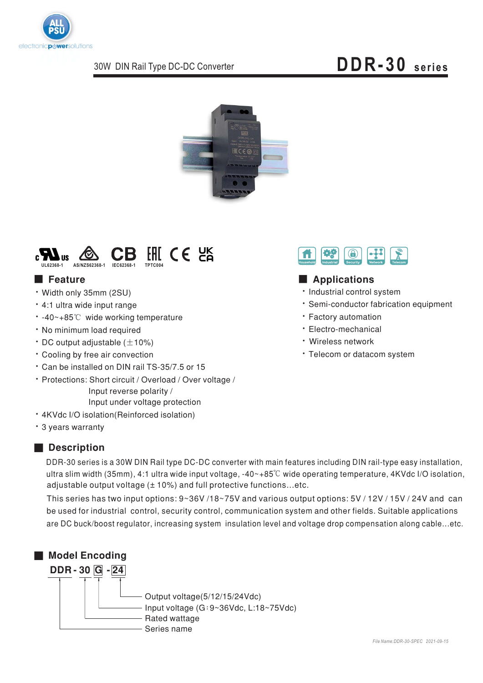

# **DDR-30 series**





- Width only 35mm (2SU)
- · 4:1 ultra wide input range
- -40~+85℃ wide working temperature
- No minimum load required
- $\cdot$  DC output adjustable ( $\pm$ 10%)
- \* Cooling by free air convection
- Can be installed on DIN rail TS-35/7.5 or 15
- Protections: Short circuit / Overload / Over voltage / / Input reverse polarity Input under voltage protection
- 4KVdc I/O isolation(Reinforced isolation)
- 3 years warranty

#### ■ **Description**

DDR-30 series is a 30W DIN Rail type DC-DC converter with main features including DIN rail-type easy installation, ultra slim width (35mm), 4:1 ultra wide input voltage, -40~+85°C wide operating temperature, 4KVdc I/O isolation, adjustable output voltage (± 10%) and full protective functions…etc.

This series has two input options: 9~36V /18~75V and various output options: 5V / 12V / 15V / 24V and can be used for industrial control, security control, communication system and other fields. Suitable applications are DC buck/boost regulator, increasing system insulation level and voltage drop compensation along cable…etc.





# ■  ■

- · Industrial control system
- · Semi-conductor fabrication equipment
- Factory automation
- Electro-mechanical
- Wireless network
- \* Telecom or datacom system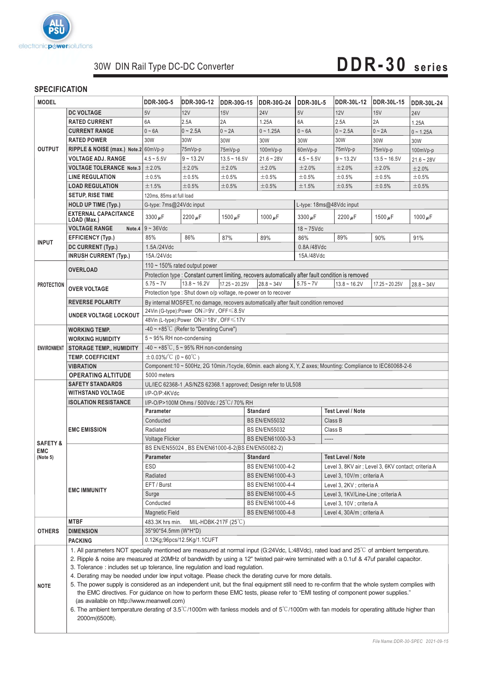

# **DDR-30 series**

#### **SPECIFICATION**

| <b>MODEL</b>                                  |                                                                                                                                                                                                                                                                                                                                                                                                                                                                                                                                                                                                                                                                                                                                                                                                                                                                                                                                                                                                  | <b>DDR-30G-5</b>                                                                                                                                       | <b>DDR-30G-12</b> | <b>DDR-30G-15</b> | <b>DDR-30G-24</b>    | <b>DDR-30L-5</b>           | DDR-30L-12                                          | <b>DDR-30L-15</b> | <b>DDR-30L-24</b> |  |
|-----------------------------------------------|--------------------------------------------------------------------------------------------------------------------------------------------------------------------------------------------------------------------------------------------------------------------------------------------------------------------------------------------------------------------------------------------------------------------------------------------------------------------------------------------------------------------------------------------------------------------------------------------------------------------------------------------------------------------------------------------------------------------------------------------------------------------------------------------------------------------------------------------------------------------------------------------------------------------------------------------------------------------------------------------------|--------------------------------------------------------------------------------------------------------------------------------------------------------|-------------------|-------------------|----------------------|----------------------------|-----------------------------------------------------|-------------------|-------------------|--|
|                                               | <b>DC VOLTAGE</b>                                                                                                                                                                                                                                                                                                                                                                                                                                                                                                                                                                                                                                                                                                                                                                                                                                                                                                                                                                                | 5V                                                                                                                                                     | 12V               | 15V               | <b>24V</b>           | 5V                         | 12V                                                 | 15V               | <b>24V</b>        |  |
| <b>OUTPUT</b>                                 | <b>RATED CURRENT</b>                                                                                                                                                                                                                                                                                                                                                                                                                                                                                                                                                                                                                                                                                                                                                                                                                                                                                                                                                                             | 6A                                                                                                                                                     | 2.5A              | 2A                | 1.25A                | 6A                         | 2.5A                                                | 2A                | 1.25A             |  |
|                                               | <b>CURRENT RANGE</b>                                                                                                                                                                                                                                                                                                                                                                                                                                                                                                                                                                                                                                                                                                                                                                                                                                                                                                                                                                             | $0 - 6A$                                                                                                                                               | $0 - 2.5A$        | $0 - 2A$          | $0 - 1.25A$          | $0 - 6A$                   | $0 - 2.5A$                                          | $0 - 2A$          | $0 - 1.25A$       |  |
|                                               | <b>RATED POWER</b>                                                                                                                                                                                                                                                                                                                                                                                                                                                                                                                                                                                                                                                                                                                                                                                                                                                                                                                                                                               | 30W                                                                                                                                                    | 30W               | 30W               | 30W                  | 30W                        | 30W                                                 | 30W               | 30W               |  |
|                                               | RIPPLE & NOISE (max.) Note.2 60mVp-p                                                                                                                                                                                                                                                                                                                                                                                                                                                                                                                                                                                                                                                                                                                                                                                                                                                                                                                                                             |                                                                                                                                                        | 75mVp-p           | 75mVp-p           | 100mVp-p             | 60mVp-p                    | 75mVp-p                                             | 75mVp-p           | 100mVp-p          |  |
|                                               | <b>VOLTAGE ADJ. RANGE</b>                                                                                                                                                                                                                                                                                                                                                                                                                                                                                                                                                                                                                                                                                                                                                                                                                                                                                                                                                                        | $4.5 - 5.5V$                                                                                                                                           | $9 - 13.2V$       | $13.5 - 16.5V$    | $21.6 - 28V$         | $4.5 - 5.5V$               | $9 - 13.2V$                                         | $13.5 - 16.5V$    | $21.6 - 28V$      |  |
|                                               | <b>VOLTAGE TOLERANCE Note.3</b>                                                                                                                                                                                                                                                                                                                                                                                                                                                                                                                                                                                                                                                                                                                                                                                                                                                                                                                                                                  | ±2.0%                                                                                                                                                  | ±2.0%             | ±2.0%             | ±2.0%                | ±2.0%                      | ±2.0%                                               | ±2.0%             | ±2.0%             |  |
|                                               | <b>LINE REGULATION</b>                                                                                                                                                                                                                                                                                                                                                                                                                                                                                                                                                                                                                                                                                                                                                                                                                                                                                                                                                                           | ±0.5%                                                                                                                                                  | ±0.5%             | ±0.5%             | ±0.5%                | ±0.5%                      | ±0.5%                                               | ±0.5%             | ±0.5%             |  |
|                                               | <b>LOAD REGULATION</b>                                                                                                                                                                                                                                                                                                                                                                                                                                                                                                                                                                                                                                                                                                                                                                                                                                                                                                                                                                           | ±1.5%                                                                                                                                                  | ±0.5%             | ±0.5%             | ±0.5%                | ±1.5%                      | ±0.5%                                               | ±0.5%             | $\pm 0.5\%$       |  |
|                                               | <b>SETUP, RISE TIME</b>                                                                                                                                                                                                                                                                                                                                                                                                                                                                                                                                                                                                                                                                                                                                                                                                                                                                                                                                                                          | 120ms, 85ms at full load                                                                                                                               |                   |                   |                      |                            |                                                     |                   |                   |  |
|                                               | <b>HOLD UP TIME (Typ.)</b>                                                                                                                                                                                                                                                                                                                                                                                                                                                                                                                                                                                                                                                                                                                                                                                                                                                                                                                                                                       | G-type: 7ms@24Vdc input<br>L-type: 18ms@48Vdc input                                                                                                    |                   |                   |                      |                            |                                                     |                   |                   |  |
|                                               | <b>EXTERNAL CAPACITANCE</b>                                                                                                                                                                                                                                                                                                                                                                                                                                                                                                                                                                                                                                                                                                                                                                                                                                                                                                                                                                      | $3300 \mu F$                                                                                                                                           | 2200 $\mu$ F      | 1500 $\mu$ F      | 1000 $\mu$ F         | 3300 $\mu$ F               | 2200 $\mu$ F                                        | 1500 $\mu$ F      | 1000 $\mu$ F      |  |
|                                               | LOAD (Max.)<br><b>VOLTAGE RANGE</b>                                                                                                                                                                                                                                                                                                                                                                                                                                                                                                                                                                                                                                                                                                                                                                                                                                                                                                                                                              | Note.4 $9 - 36$ Vdc                                                                                                                                    |                   |                   |                      | $18 \sim 75$ Vdc           |                                                     |                   |                   |  |
| <b>INPUT</b>                                  | EFFICIENCY (Typ.)                                                                                                                                                                                                                                                                                                                                                                                                                                                                                                                                                                                                                                                                                                                                                                                                                                                                                                                                                                                | 85%                                                                                                                                                    | 86%               | 87%               | 89%                  | 86%                        | 89%                                                 | 90%               | 91%               |  |
|                                               | DC CURRENT (Typ.)                                                                                                                                                                                                                                                                                                                                                                                                                                                                                                                                                                                                                                                                                                                                                                                                                                                                                                                                                                                | 1.5A/24Vdc                                                                                                                                             |                   |                   |                      | 0.8A/48Vdc                 |                                                     |                   |                   |  |
|                                               | <b>INRUSH CURRENT (Typ.)</b>                                                                                                                                                                                                                                                                                                                                                                                                                                                                                                                                                                                                                                                                                                                                                                                                                                                                                                                                                                     | 15A/24Vdc<br>15A/48Vdc                                                                                                                                 |                   |                   |                      |                            |                                                     |                   |                   |  |
|                                               |                                                                                                                                                                                                                                                                                                                                                                                                                                                                                                                                                                                                                                                                                                                                                                                                                                                                                                                                                                                                  | 110 $\sim$ 150% rated output power                                                                                                                     |                   |                   |                      |                            |                                                     |                   |                   |  |
| <b>PROTECTION</b>                             | <b>OVERLOAD</b>                                                                                                                                                                                                                                                                                                                                                                                                                                                                                                                                                                                                                                                                                                                                                                                                                                                                                                                                                                                  | Protection type : Constant current limiting, recovers automatically after fault condition is removed                                                   |                   |                   |                      |                            |                                                     |                   |                   |  |
|                                               |                                                                                                                                                                                                                                                                                                                                                                                                                                                                                                                                                                                                                                                                                                                                                                                                                                                                                                                                                                                                  | $5.75 - 7V$                                                                                                                                            | $13.8 - 16.2V$    | $17.25 - 20.25V$  | $28.8 - 34V$         | $5.75 - 7V$                | $13.8 - 16.2V$                                      | $17.25 - 20.25V$  | $28.8 - 34V$      |  |
|                                               | <b>OVER VOLTAGE</b>                                                                                                                                                                                                                                                                                                                                                                                                                                                                                                                                                                                                                                                                                                                                                                                                                                                                                                                                                                              |                                                                                                                                                        |                   |                   |                      |                            |                                                     |                   |                   |  |
|                                               | <b>REVERSE POLARITY</b>                                                                                                                                                                                                                                                                                                                                                                                                                                                                                                                                                                                                                                                                                                                                                                                                                                                                                                                                                                          | Protection type : Shut down o/p voltage, re-power on to recover<br>By internal MOSFET, no damage, recovers automatically after fault condition removed |                   |                   |                      |                            |                                                     |                   |                   |  |
|                                               |                                                                                                                                                                                                                                                                                                                                                                                                                                                                                                                                                                                                                                                                                                                                                                                                                                                                                                                                                                                                  |                                                                                                                                                        |                   |                   |                      |                            |                                                     |                   |                   |  |
|                                               | <b>UNDER VOLTAGE LOCKOUT</b>                                                                                                                                                                                                                                                                                                                                                                                                                                                                                                                                                                                                                                                                                                                                                                                                                                                                                                                                                                     | 24Vin (G-type):Power ON≥9V, OFF ≤8.5V<br>48Vin (L-type):Power ON≥18V, OFF≤17V                                                                          |                   |                   |                      |                            |                                                     |                   |                   |  |
| <b>ENVIRONMENT</b>                            | <b>WORKING TEMP.</b>                                                                                                                                                                                                                                                                                                                                                                                                                                                                                                                                                                                                                                                                                                                                                                                                                                                                                                                                                                             | -40 $\sim$ +85°C (Refer to "Derating Curve")                                                                                                           |                   |                   |                      |                            |                                                     |                   |                   |  |
|                                               | <b>WORKING HUMIDITY</b>                                                                                                                                                                                                                                                                                                                                                                                                                                                                                                                                                                                                                                                                                                                                                                                                                                                                                                                                                                          | 5~95% RH non-condensing                                                                                                                                |                   |                   |                      |                            |                                                     |                   |                   |  |
|                                               | <b>STORAGE TEMP., HUMIDITY</b>                                                                                                                                                                                                                                                                                                                                                                                                                                                                                                                                                                                                                                                                                                                                                                                                                                                                                                                                                                   | $-40 \sim +85^{\circ}$ C, 5 ~ 95% RH non-condensing                                                                                                    |                   |                   |                      |                            |                                                     |                   |                   |  |
|                                               | <b>TEMP. COEFFICIENT</b>                                                                                                                                                                                                                                                                                                                                                                                                                                                                                                                                                                                                                                                                                                                                                                                                                                                                                                                                                                         | $\pm 0.03\%$ /°C (0 ~ 60°C)                                                                                                                            |                   |                   |                      |                            |                                                     |                   |                   |  |
|                                               | <b>VIBRATION</b>                                                                                                                                                                                                                                                                                                                                                                                                                                                                                                                                                                                                                                                                                                                                                                                                                                                                                                                                                                                 | Component:10 ~ 500Hz, 2G 10min./1cycle, 60min. each along X, Y, Z axes; Mounting: Compliance to IEC60068-2-6                                           |                   |                   |                      |                            |                                                     |                   |                   |  |
|                                               | <b>OPERATING ALTITUDE</b>                                                                                                                                                                                                                                                                                                                                                                                                                                                                                                                                                                                                                                                                                                                                                                                                                                                                                                                                                                        | 5000 meters                                                                                                                                            |                   |                   |                      |                            |                                                     |                   |                   |  |
|                                               | <b>SAFETY STANDARDS</b>                                                                                                                                                                                                                                                                                                                                                                                                                                                                                                                                                                                                                                                                                                                                                                                                                                                                                                                                                                          | UL/IEC 62368-1, AS/NZS 62368.1 approved; Design refer to UL508                                                                                         |                   |                   |                      |                            |                                                     |                   |                   |  |
|                                               | <b>WITHSTAND VOLTAGE</b>                                                                                                                                                                                                                                                                                                                                                                                                                                                                                                                                                                                                                                                                                                                                                                                                                                                                                                                                                                         | I/P-O/P:4KVdc                                                                                                                                          |                   |                   |                      |                            |                                                     |                   |                   |  |
|                                               | <b>ISOLATION RESISTANCE</b>                                                                                                                                                                                                                                                                                                                                                                                                                                                                                                                                                                                                                                                                                                                                                                                                                                                                                                                                                                      | I/P-O/P>100M Ohms / 500Vdc / 25°C / 70% RH                                                                                                             |                   |                   |                      |                            |                                                     |                   |                   |  |
|                                               |                                                                                                                                                                                                                                                                                                                                                                                                                                                                                                                                                                                                                                                                                                                                                                                                                                                                                                                                                                                                  | <b>Test Level / Note</b><br>Parameter<br><b>Standard</b>                                                                                               |                   |                   |                      |                            |                                                     |                   |                   |  |
|                                               | <b>EMC EMISSION</b>                                                                                                                                                                                                                                                                                                                                                                                                                                                                                                                                                                                                                                                                                                                                                                                                                                                                                                                                                                              | Conducted                                                                                                                                              |                   |                   | <b>BS EN/EN55032</b> |                            | Class B                                             |                   |                   |  |
|                                               |                                                                                                                                                                                                                                                                                                                                                                                                                                                                                                                                                                                                                                                                                                                                                                                                                                                                                                                                                                                                  | Radiated                                                                                                                                               |                   |                   | <b>BS EN/EN55032</b> |                            | Class B                                             |                   |                   |  |
| <b>SAFETY &amp;</b><br><b>EMC</b><br>(Note 5) |                                                                                                                                                                                                                                                                                                                                                                                                                                                                                                                                                                                                                                                                                                                                                                                                                                                                                                                                                                                                  | <b>Voltage Flicker</b><br>BS EN/EN61000-3-3<br>-----                                                                                                   |                   |                   |                      |                            |                                                     |                   |                   |  |
|                                               |                                                                                                                                                                                                                                                                                                                                                                                                                                                                                                                                                                                                                                                                                                                                                                                                                                                                                                                                                                                                  | BS EN/EN55024, BS EN/EN61000-6-2(BS EN/EN50082-2)                                                                                                      |                   |                   |                      |                            |                                                     |                   |                   |  |
|                                               | <b>EMC IMMUNITY</b>                                                                                                                                                                                                                                                                                                                                                                                                                                                                                                                                                                                                                                                                                                                                                                                                                                                                                                                                                                              | Parameter and a standard                                                                                                                               |                   |                   |                      |                            | <b>Test Level / Note</b>                            |                   |                   |  |
|                                               |                                                                                                                                                                                                                                                                                                                                                                                                                                                                                                                                                                                                                                                                                                                                                                                                                                                                                                                                                                                                  | <b>ESD</b>                                                                                                                                             |                   |                   | BS EN/EN61000-4-2    |                            | Level 3, 8KV air ; Level 3, 6KV contact; criteria A |                   |                   |  |
|                                               |                                                                                                                                                                                                                                                                                                                                                                                                                                                                                                                                                                                                                                                                                                                                                                                                                                                                                                                                                                                                  | Radiated                                                                                                                                               |                   |                   | BS EN/EN61000-4-3    |                            | Level 3, 10V/m; criteria A                          |                   |                   |  |
|                                               |                                                                                                                                                                                                                                                                                                                                                                                                                                                                                                                                                                                                                                                                                                                                                                                                                                                                                                                                                                                                  | EFT / Burst                                                                                                                                            |                   |                   | BS EN/EN61000-4-4    |                            | Level 3, 2KV ; criteria A                           |                   |                   |  |
|                                               |                                                                                                                                                                                                                                                                                                                                                                                                                                                                                                                                                                                                                                                                                                                                                                                                                                                                                                                                                                                                  | Surge                                                                                                                                                  |                   |                   | BS EN/EN61000-4-5    |                            | Level 3, 1KV/Line-Line; criteria A                  |                   |                   |  |
|                                               |                                                                                                                                                                                                                                                                                                                                                                                                                                                                                                                                                                                                                                                                                                                                                                                                                                                                                                                                                                                                  | Conducted                                                                                                                                              |                   |                   | BS EN/EN61000-4-6    |                            | Level 3, 10V ; criteria A                           |                   |                   |  |
|                                               |                                                                                                                                                                                                                                                                                                                                                                                                                                                                                                                                                                                                                                                                                                                                                                                                                                                                                                                                                                                                  | <b>Magnetic Field</b>                                                                                                                                  | BS EN/EN61000-4-8 |                   |                      | Level 4, 30A/m; criteria A |                                                     |                   |                   |  |
|                                               | <b>MTBF</b>                                                                                                                                                                                                                                                                                                                                                                                                                                                                                                                                                                                                                                                                                                                                                                                                                                                                                                                                                                                      | 483.3K hrs min.<br>MIL-HDBK-217F $(25^{\circ}C)$                                                                                                       |                   |                   |                      |                            |                                                     |                   |                   |  |
| <b>OTHERS</b>                                 | <b>DIMENSION</b>                                                                                                                                                                                                                                                                                                                                                                                                                                                                                                                                                                                                                                                                                                                                                                                                                                                                                                                                                                                 | 35*90*54.5mm (W*H*D)                                                                                                                                   |                   |                   |                      |                            |                                                     |                   |                   |  |
|                                               | <b>PACKING</b>                                                                                                                                                                                                                                                                                                                                                                                                                                                                                                                                                                                                                                                                                                                                                                                                                                                                                                                                                                                   | 0.12Kg;96pcs/12.5Kg/1.1CUFT                                                                                                                            |                   |                   |                      |                            |                                                     |                   |                   |  |
| <b>NOTE</b>                                   | 1. All parameters NOT specially mentioned are measured at normal input (G:24Vdc, L:48Vdc), rated load and 25°C of ambient temperature.<br>2. Ripple & noise are measured at 20MHz of bandwidth by using a 12" twisted pair-wire terminated with a 0.1uf & 47uf parallel capacitor.<br>3. Tolerance: includes set up tolerance, line regulation and load regulation.<br>4. Derating may be needed under low input voltage. Please check the derating curve for more details.<br>5. The power supply is considered as an independent unit, but the final equipment still need to re-confirm that the whole system complies with<br>the EMC directives. For guidance on how to perform these EMC tests, please refer to "EMI testing of component power supplies."<br>(as available on http://www.meanwell.com)<br>6. The ambient temperature derating of $3.5^{\circ}$ C/1000m with fanless models and of $5^{\circ}$ C/1000m with fan models for operating altitude higher than<br>2000m(6500ft). |                                                                                                                                                        |                   |                   |                      |                            |                                                     |                   |                   |  |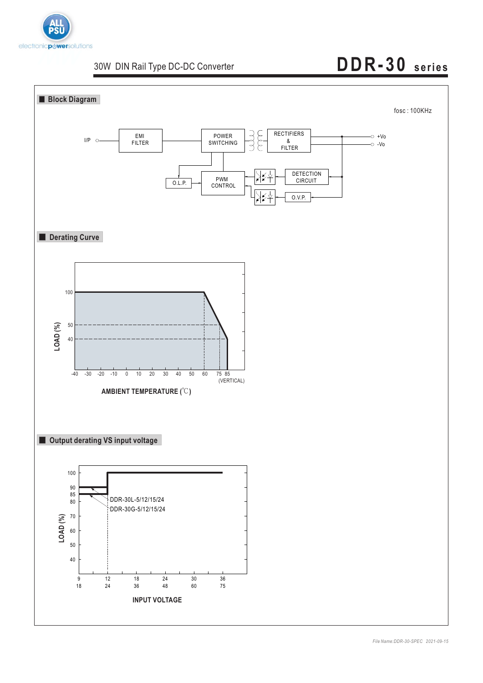

# **DDR-30 series**